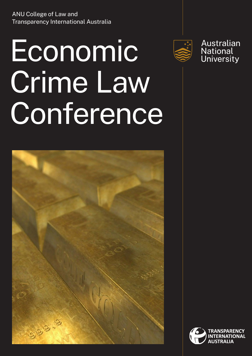ANU College of Law and Transparency International Australia

## Economic Crime Law **Conference**





Australian Mascratian<br>National<br>University

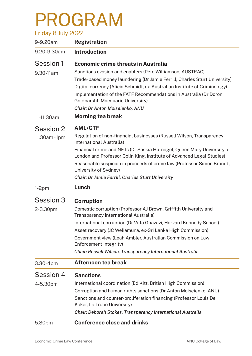## PROGRAM

| Friday 8 July 2022 |                                                                                                                                                 |
|--------------------|-------------------------------------------------------------------------------------------------------------------------------------------------|
| 9-9.20am           | <b>Registration</b>                                                                                                                             |
| 9.20-9.30am        | <b>Introduction</b>                                                                                                                             |
| Session 1          | <b>Economic crime threats in Australia</b>                                                                                                      |
| 9.30-11am          | Sanctions evasion and enablers (Pete Williamson, AUSTRAC)                                                                                       |
|                    | Trade-based money laundering (Dr Jamie Ferrill, Charles Sturt University)                                                                       |
|                    | Digital currency (Alicia Schmidt, ex-Australian Institute of Criminology)                                                                       |
|                    | Implementation of the FATF Recommendations in Australia (Dr Doron<br>Goldbarsht, Macquarie University)                                          |
|                    | Chair: Dr Anton Moiseienko, ANU                                                                                                                 |
| 11-11.30am         | <b>Morning tea break</b>                                                                                                                        |
| Session 2          | <b>AML/CTF</b>                                                                                                                                  |
| 11.30am-1pm        | Regulation of non-financial businesses (Russell Wilson, Transparency<br>International Australia)                                                |
|                    | Financial crime and NFTs (Dr Saskia Hufnagel, Queen Mary University of<br>London and Professor Colin King, Institute of Advanced Legal Studies) |
|                    | Reasonable suspicion in proceeds of crime law (Professor Simon Bronitt,<br>University of Sydney)                                                |
|                    | <b>Chair: Dr Jamie Ferrill, Charles Sturt University</b>                                                                                        |
| $1-2pm$            | Lunch                                                                                                                                           |
| Session 3          | <b>Corruption</b>                                                                                                                               |
| 2-3.30pm           | Domestic corruption (Professor AJ Brown, Griffith University and<br>Transparency International Australia)                                       |
|                    | International corruption (Dr Vafa Ghazavi, Harvard Kennedy School)                                                                              |
|                    | Asset recovery (JC Weliamuna, ex-Sri Lanka High Commission)                                                                                     |
|                    | Government view (Leah Ambler, Australian Commission on Law<br>Enforcement Integrity)                                                            |
|                    | Chair: Russell Wilson, Transparency International Australia                                                                                     |
| 3.30-4pm           | Afternoon tea break                                                                                                                             |
| Session 4          | <b>Sanctions</b>                                                                                                                                |
| 4-5.30pm           | International coordination (Ed Kitt, British High Commission)                                                                                   |
|                    | Corruption and human rights sanctions (Dr Anton Moiseienko, ANU)                                                                                |
|                    | Sanctions and counter-proliferation financing (Professor Louis De                                                                               |
|                    | Koker, La Trobe University)                                                                                                                     |
|                    | Chair: Deborah Stokes, Transparency International Australia                                                                                     |
| 5.30pm             | <b>Conference close and drinks</b>                                                                                                              |